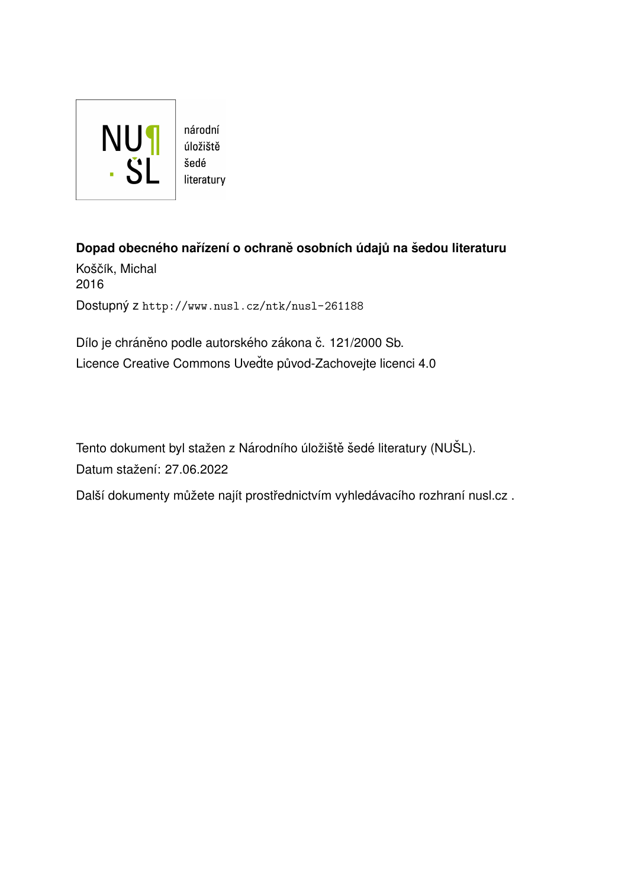

úložiště literatury

**Dopad obecného nařízení o ochraně osobních údajů na šedou literaturu** Koščík, Michal 2016 Dostupný z <http://www.nusl.cz/ntk/nusl-261188>

Dílo je chráněno podle autorského zákona č. 121/2000 Sb. Licence Creative Commons Uvedte původ-Zachovejte licenci 4.0

Tento dokument byl stažen z Národního úložiště šedé literatury (NUŠL). Datum stažení: 27.06.2022

Další dokumenty můžete najít prostřednictvím vyhledávacího rozhraní [nusl.cz](http://www.nusl.cz) .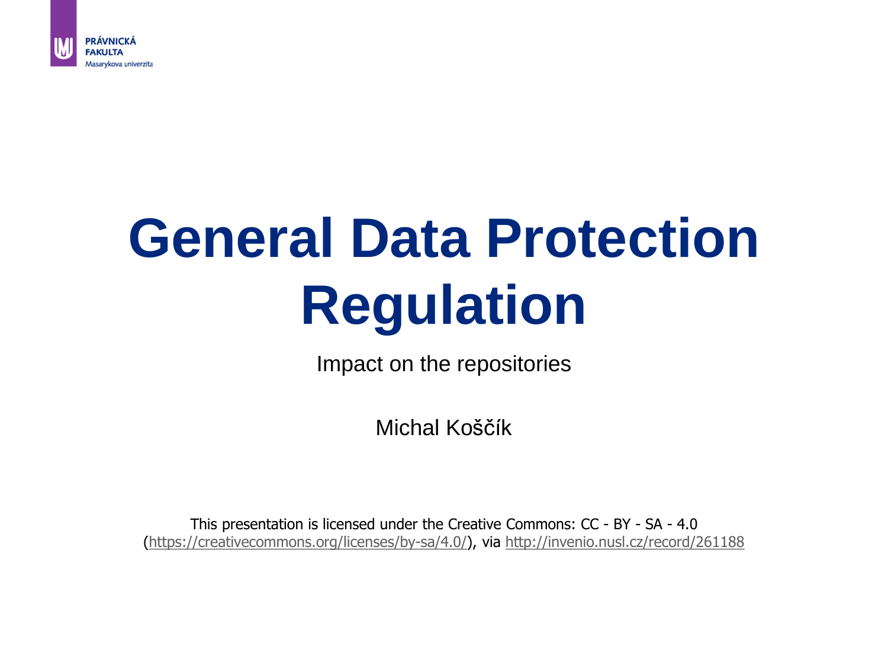

# **General Data Protection Regulation**

Impact on the repositories

Michal Koščík

This presentation is licensed under the Creative Commons: CC - BY - SA - 4.0 ([https://creativecommons.org/licenses/by-sa/4.0/\)](https://creativecommons.org/licenses/by-sa/4.0/), via <http://invenio.nusl.cz/record/261188>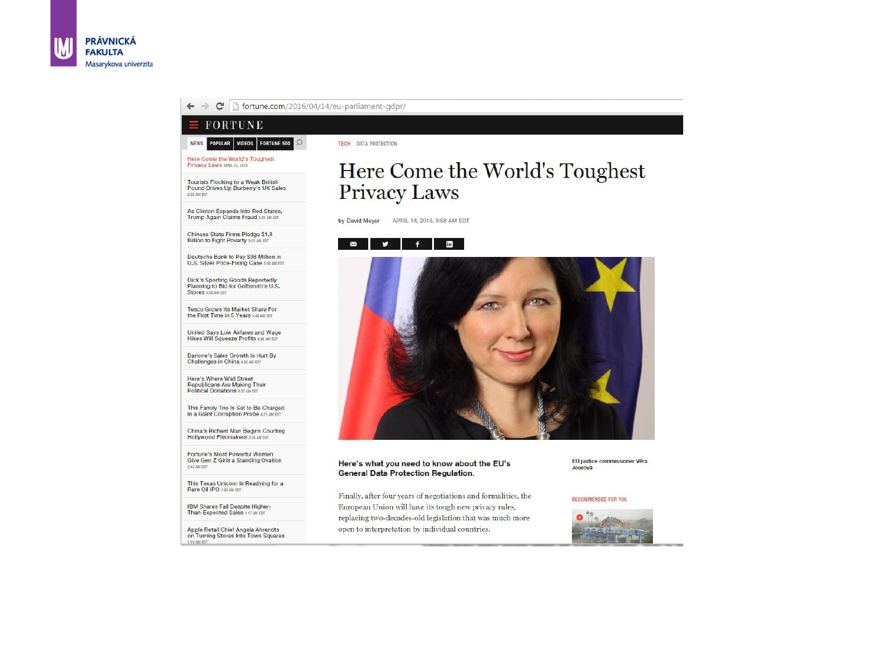

Finally, after four years of negotiations and formalities, the European Union will have its tough new privacy rules, replacing two-decades-old legislation that was much more open to interpretation by individual countries.

EU justice commissioner Věra Jourová

#### RECOMMENDED FOR YOU



## Here Come the World's Toughest



This Texas Unicorn Is Readying for a<br>Rare Oil IPO 138 AM EDT

2:42 AM EDT

5:35 AM EDT

IBM Shares Fall Despite Higher-Than-Expected Sales 1:17 AM EDT

Apple Retail Chief Angela Ahrendts<br>on Tuming Stores Into Town Squares 1:10 AM EDT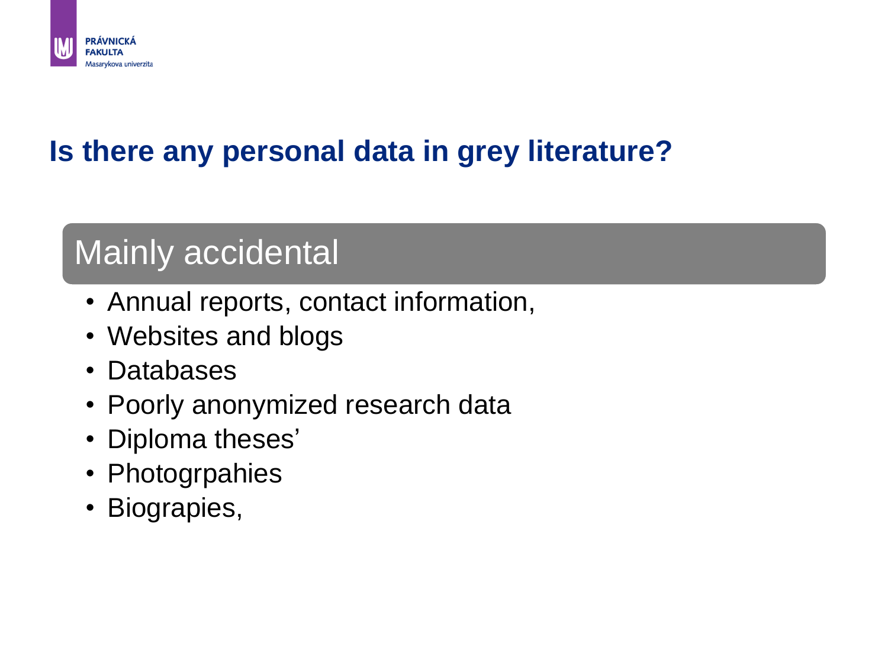

#### **Is there any personal data in grey literature?**

### Mainly accidental

- Annual reports, contact information,
- Websites and blogs
- Databases
- Poorly anonymized research data
- Diploma theses'
- Photogrpahies
- Biograpies,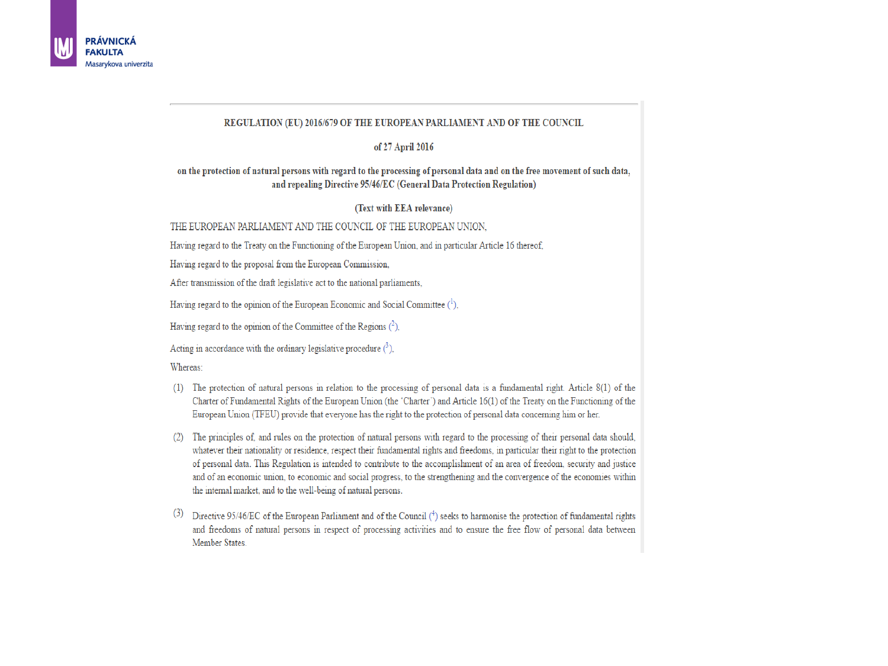

#### REGULATION (EU) 2016/679 OF THE EUROPEAN PARLIAMENT AND OF THE COUNCIL

#### of 27 April 2016

#### on the protection of natural persons with regard to the processing of personal data and on the free movement of such data, and repealing Directive 95/46/EC (General Data Protection Regulation)

#### (Text with EEA relevance)

#### THE EUROPEAN PARLIAMENT AND THE COUNCIL OF THE EUROPEAN UNION.

Having regard to the Treaty on the Functioning of the European Union, and in particular Article 16 thereof,

Having regard to the proposal from the European Commission,

After transmission of the draft legislative act to the national parliaments,

Having regard to the opinion of the European Economic and Social Committee  $(1)$ ,

Having regard to the opinion of the Committee of the Regions  $(2)$ ,

Acting in accordance with the ordinary legislative procedure  $(^3)$ ,

Whereas:

- (1) The protection of natural persons in relation to the processing of personal data is a fundamental right. Article 8(1) of the Charter of Fundamental Rights of the European Union (the 'Charter') and Article 16(1) of the Treaty on the Functioning of the European Union (TFEU) provide that everyone has the right to the protection of personal data concerning him or her.
- (2) The principles of, and rules on the protection of natural persons with regard to the processing of their personal data should, whatever their nationality or residence, respect their fundamental rights and freedoms, in particular their right to the protection of personal data. This Regulation is intended to contribute to the accomplishment of an area of freedom, security and justice and of an economic union, to economic and social progress, to the strengthening and the convergence of the economies within the internal market, and to the well-being of natural persons.
- (3) Directive 95/46/EC of the European Parliament and of the Council (4) seeks to harmonise the protection of fundamental rights and freedoms of natural persons in respect of processing activities and to ensure the free flow of personal data between Member States.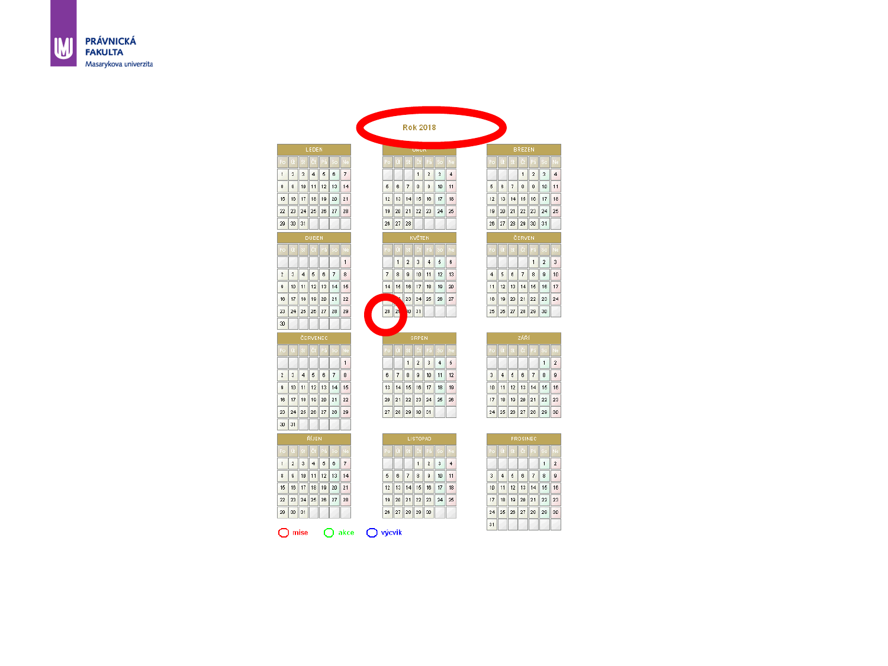|                |                           |                         | LEDEN          |    |    |              |
|----------------|---------------------------|-------------------------|----------------|----|----|--------------|
| Po             |                           |                         |                |    |    |              |
| $\mathbf{1}$   | $\mathbf 2$               | $\overline{\mathbf{3}}$ | $\overline{4}$ | 5  | 6  | 7            |
| 8              | 9                         | 10                      | 11             | 12 | 13 | 14           |
| 15             | 16                        | 17                      | 18             | 19 | 20 | 21           |
| $^{22}$        | 23                        | 24                      | 25             | 26 | 27 | 28           |
| 29             | 30                        | 31                      |                |    |    |              |
|                |                           |                         | DUBEN          |    |    |              |
| Po             |                           |                         |                |    | š. |              |
|                |                           |                         |                |    |    | $\mathbf{1}$ |
| $\overline{2}$ | $\overline{\overline{3}}$ | $\overline{4}$          | 5              | 6  | 7  | 8            |
| 9              | 10                        | 11                      | 12             | 13 | 14 | 15           |
| 16             | 17                        | 18                      | 19             | 20 | 21 | $22\,$       |
| 23             | 24                        | 25                      | 26             | 27 | 28 | 29           |
| 30             |                           |                         |                |    |    |              |
|                |                           |                         | ČERVENEC       |    |    |              |
| Po             |                           |                         |                |    |    | Ń.           |
|                |                           |                         |                |    |    | $\mathbf{1}$ |
| $\overline{2}$ | 3                         | 4                       | 5              | 6  | 7  | 8            |
| 9              | 10 <sup>10</sup>          | 11                      | 12             | 13 | 14 | 15           |
| 16             | 17                        | 18                      | 19             | 20 | 21 | 22           |
| 23             | 24                        | 25                      | 26             | 27 | 28 | 29           |
|                |                           |                         |                |    |    |              |
|                | 31                        |                         |                |    |    |              |
| 30             |                           |                         | ŘÍJEN          |    |    |              |
| Pe             |                           |                         |                |    |    |              |
| $\mathbf{1}$   | $\boldsymbol{2}$          | 3                       | $\overline{4}$ | 5  | 6  | 7            |
| 8              | 9                         | 10                      | 11             | 12 | 13 | 14           |
| 15             | 16                        | 17                      | 18             | 19 | 20 | 21           |
| 22             | 23                        | 24                      | 25             | 26 | 27 | 28           |
| 29             | 30                        | 31                      |                |    |    |              |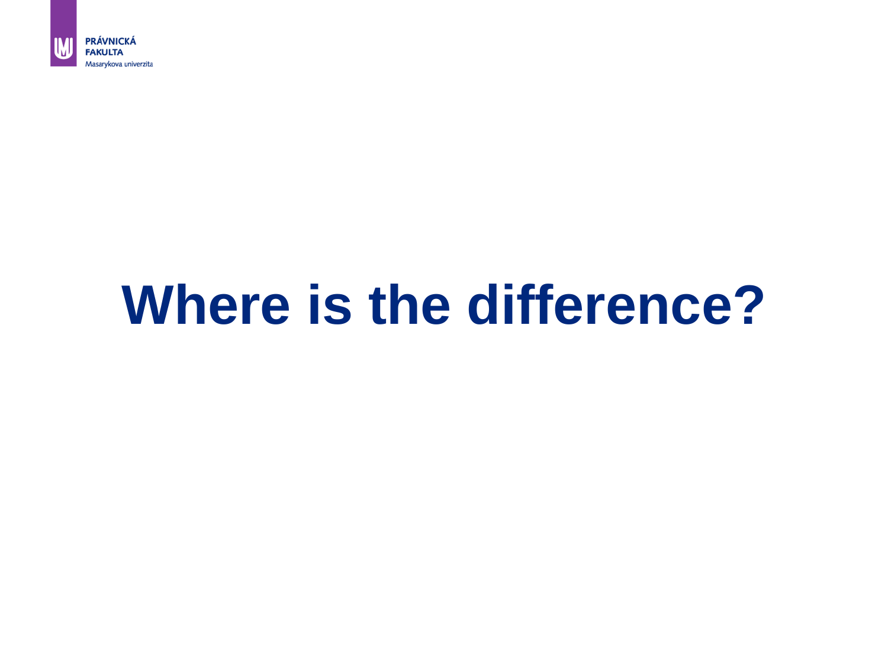

## **Where is the difference?**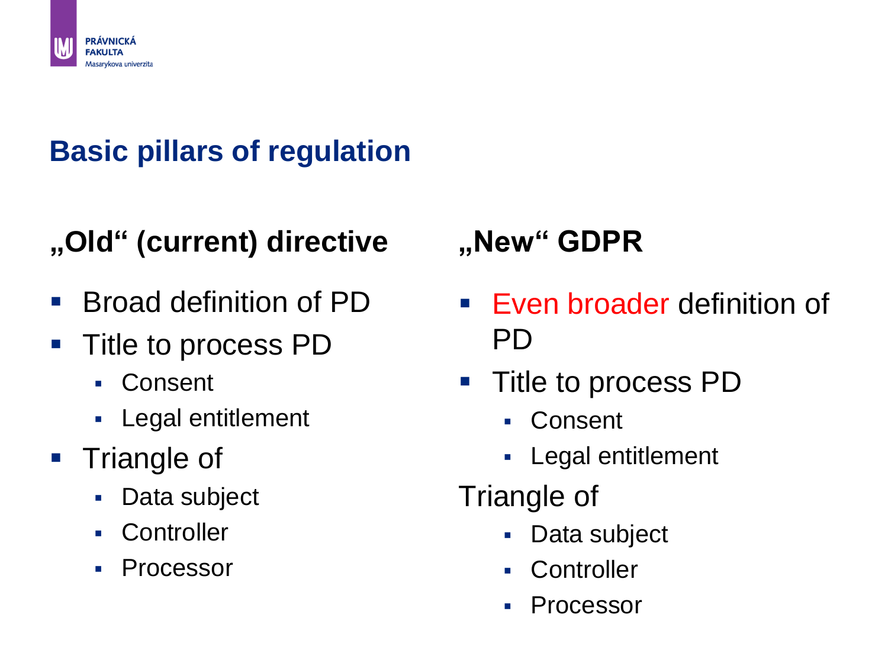

### **Basic pillars of regulation**

### **"Old" (current) directive**

- Broad definition of PD
- **Title to process PD** 
	- Consent
	- **Legal entitlement**
- Triangle of
	- **Data subject**
	- **Controller**
	- Processor

### **"New" GDPR**

- **Even broader definition of** PD
- Title to process PD
	- Consent
	- **Legal entitlement**
- Triangle of
	- **Data subject**
	- **-** Controller
	- Processor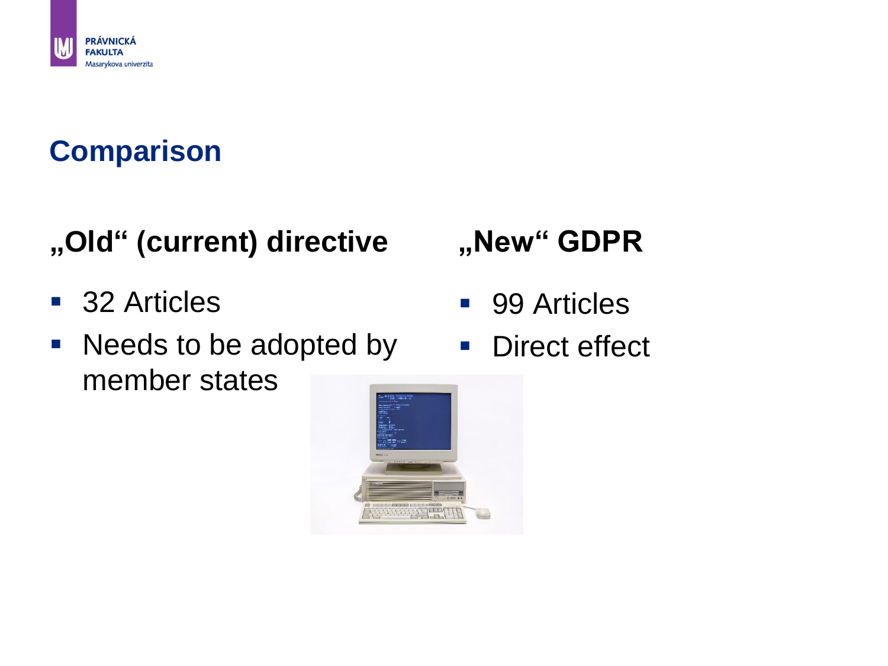

#### **Comparison**

### **"Old" (current) directive**

- 32 Articles
- Needs to be adopted by member states

### **"New" GDPR**

- 99 Articles
- **Direct effect**

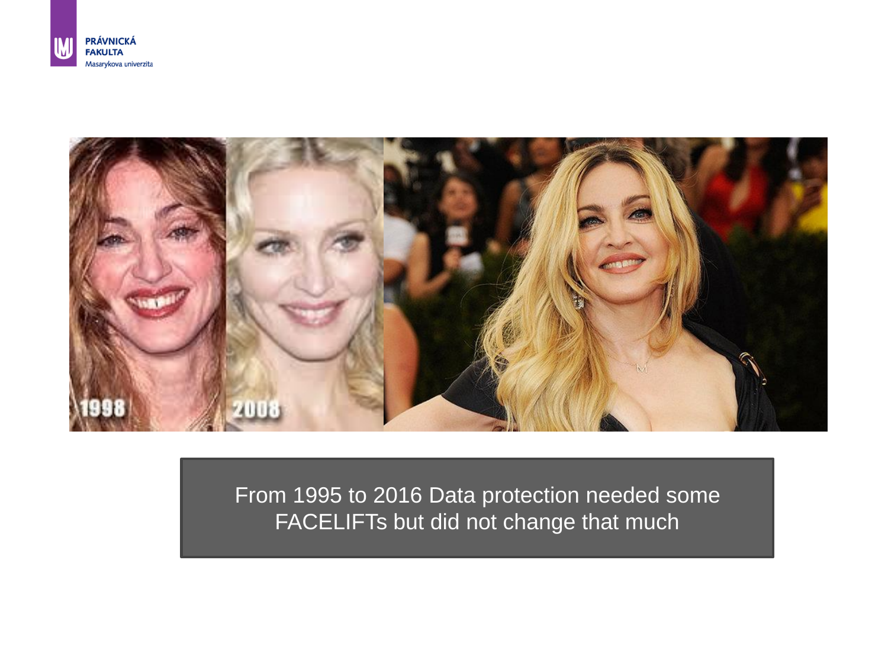



From 1995 to 2016 Data protection needed some FACELIFTs but did not change that much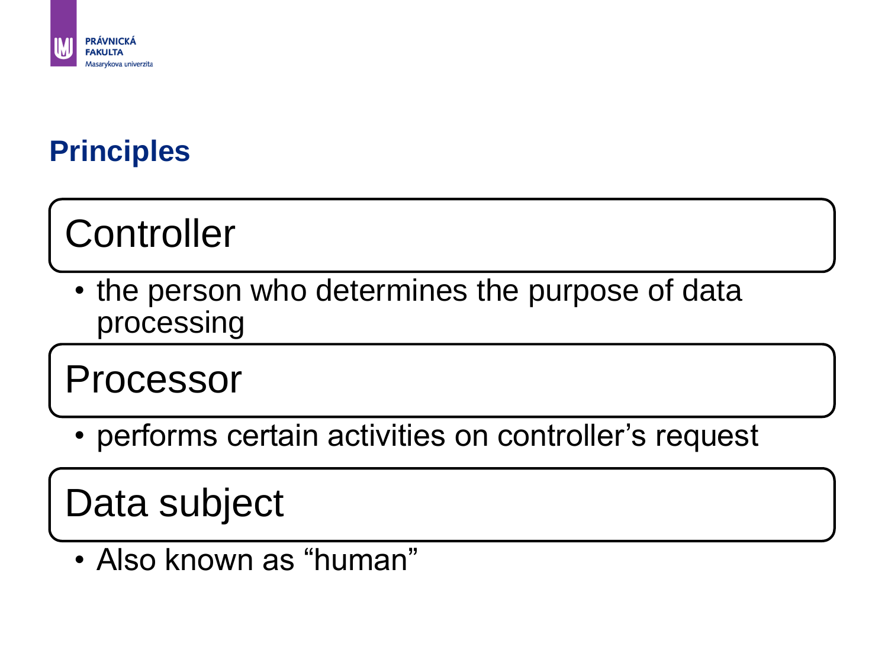

#### **Principles**

## **Controller**

• the person who determines the purpose of data processing

Processor

• performs certain activities on controller's request

Data subject

• Also known as "human"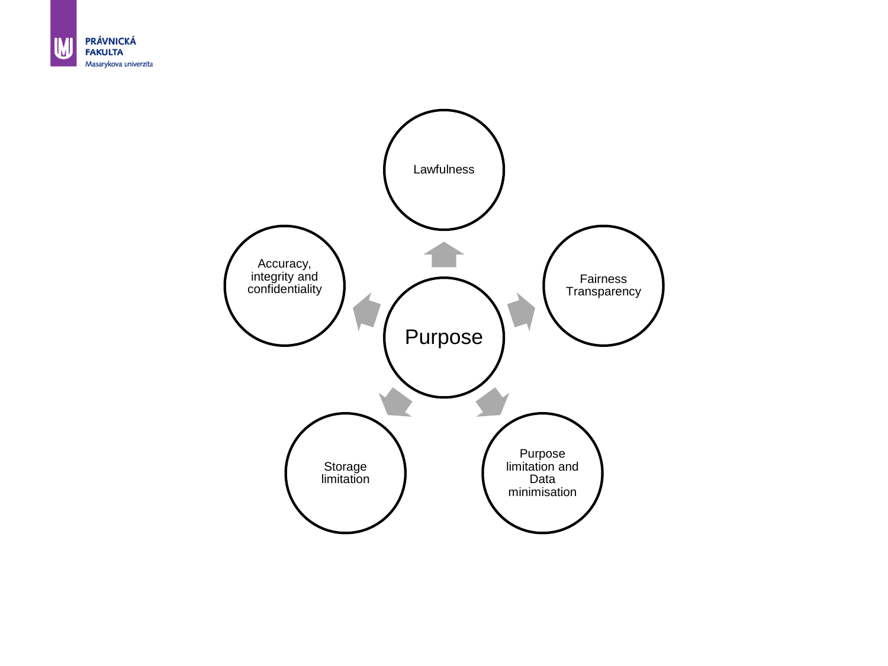

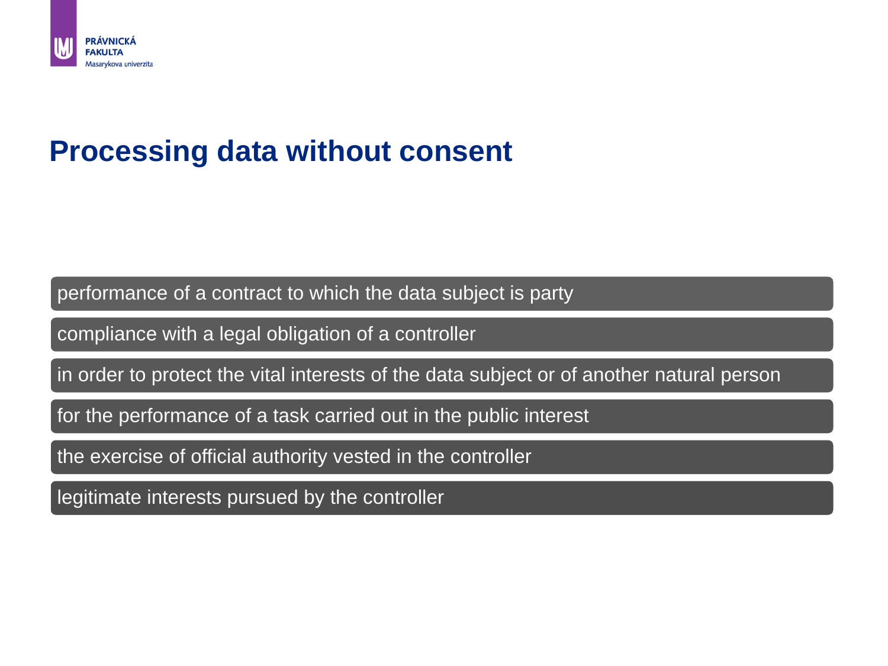

#### **Processing data without consent**

performance of a contract to which the data subject is party

compliance with a legal obligation of a controller

in order to protect the vital interests of the data subject or of another natural person

for the performance of a task carried out in the public interest

the exercise of official authority vested in the controller

legitimate interests pursued by the controller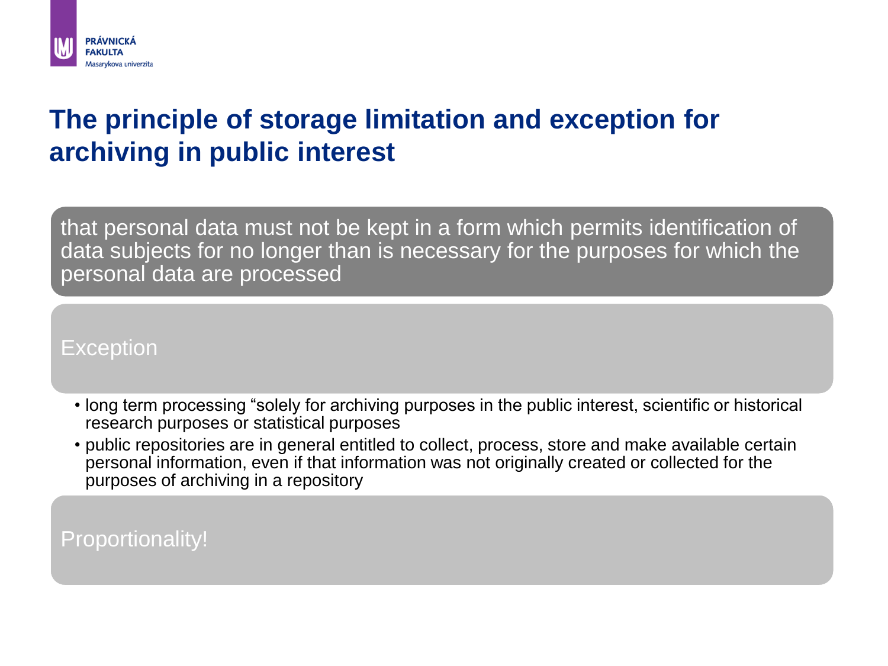

#### **The principle of storage limitation and exception for archiving in public interest**

that personal data must not be kept in a form which permits identification of data subjects for no longer than is necessary for the purposes for which the personal data are processed

**Exception** 

- long term processing "solely for archiving purposes in the public interest, scientific or historical research purposes or statistical purposes
- public repositories are in general entitled to collect, process, store and make available certain personal information, even if that information was not originally created or collected for the purposes of archiving in a repository

Proportionality!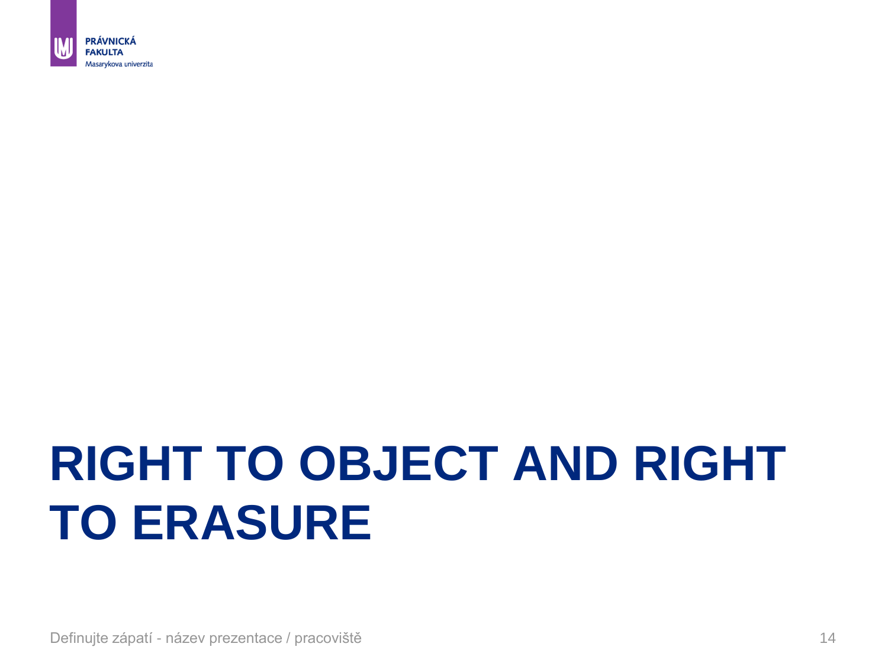

## **RIGHT TO OBJECT AND RIGHT TO ERASURE**

Definujte zápatí - název prezentace / pracoviště 14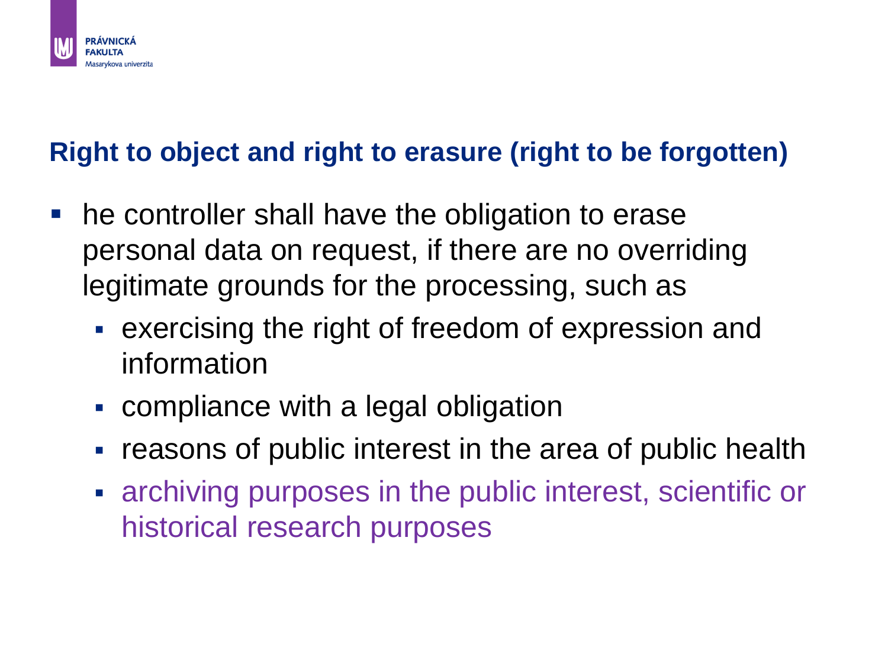

#### **Right to object and right to erasure (right to be forgotten)**

- **he controller shall have the obligation to erase** personal data on request, if there are no overriding legitimate grounds for the processing, such as
	- exercising the right of freedom of expression and information
	- compliance with a legal obligation
	- reasons of public interest in the area of public health
	- archiving purposes in the public interest, scientific or historical research purposes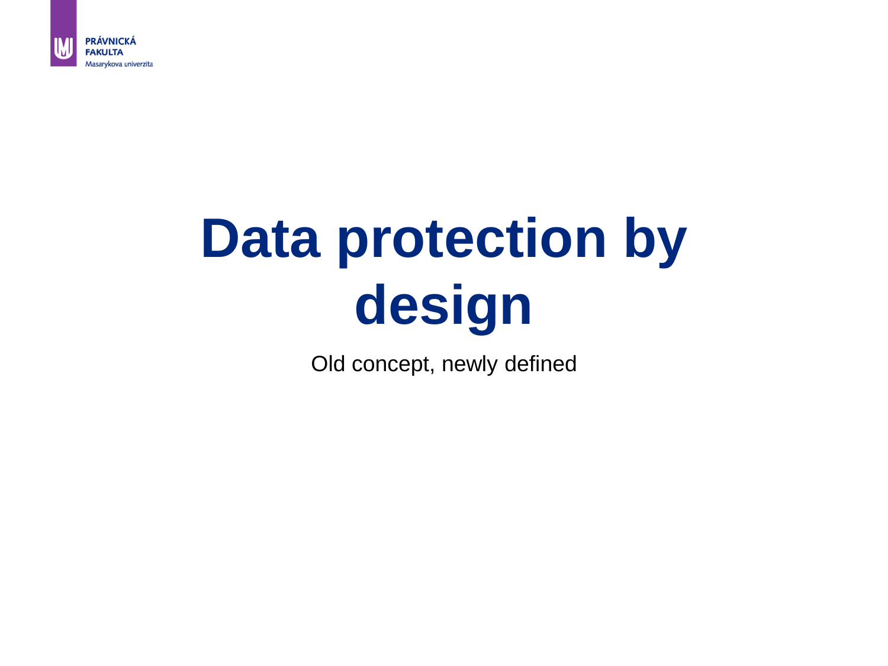

# **Data protection by design**

Old concept, newly defined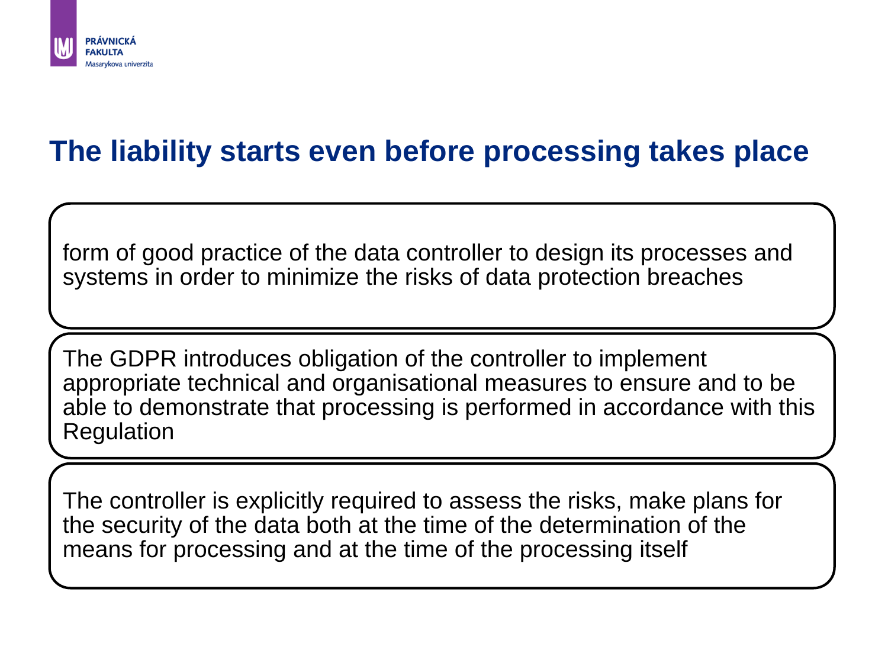

#### **The liability starts even before processing takes place**

form of good practice of the data controller to design its processes and systems in order to minimize the risks of data protection breaches

The GDPR introduces obligation of the controller to implement appropriate technical and organisational measures to ensure and to be able to demonstrate that processing is performed in accordance with this Regulation

The controller is explicitly required to assess the risks, make plans for the security of the data both at the time of the determination of the means for processing and at the time of the processing itself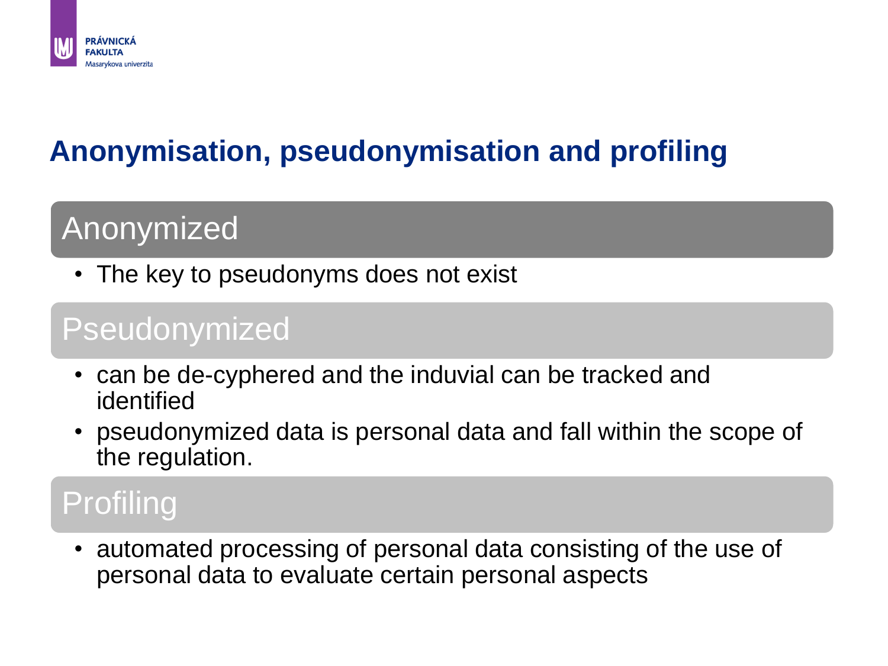

#### **Anonymisation, pseudonymisation and profiling**

### Anonymized

• The key to pseudonyms does not exist

#### Pseudonymized

- can be de-cyphered and the induvial can be tracked and identified
- pseudonymized data is personal data and fall within the scope of the regulation.

### Profiling

• automated processing of personal data consisting of the use of personal data to evaluate certain personal aspects